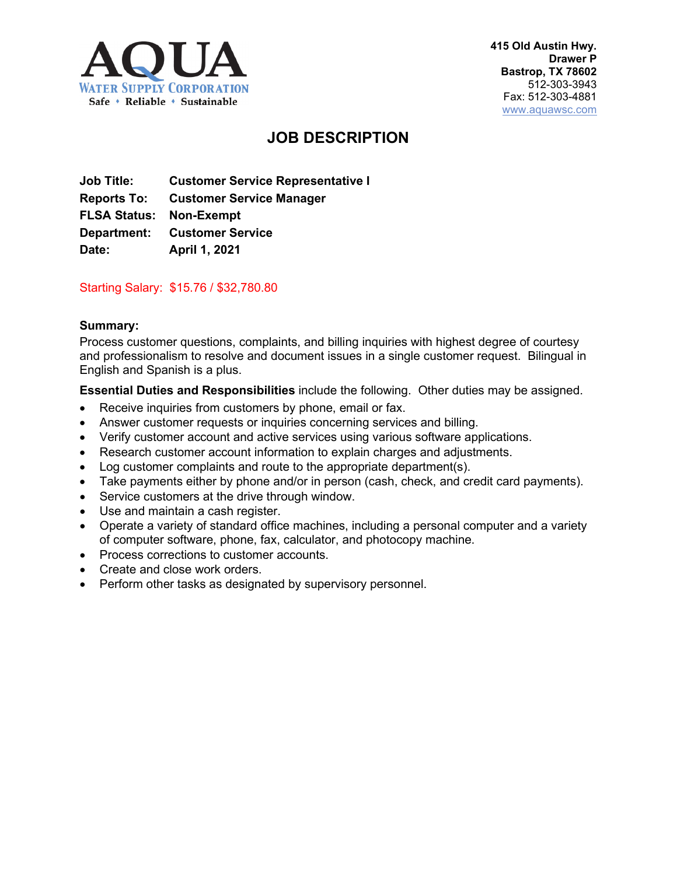

# **JOB DESCRIPTION**

**Job Title: Customer Service Representative I Reports To: Customer Service Manager FLSA Status: Non-Exempt Department: Customer Service Date: April 1, 2021**

## Starting Salary: \$15.76 / \$32,780.80

#### **Summary:**

Process customer questions, complaints, and billing inquiries with highest degree of courtesy and professionalism to resolve and document issues in a single customer request. Bilingual in English and Spanish is a plus.

**Essential Duties and Responsibilities** include the following. Other duties may be assigned.

- Receive inquiries from customers by phone, email or fax.
- Answer customer requests or inquiries concerning services and billing.
- Verify customer account and active services using various software applications.
- Research customer account information to explain charges and adjustments.
- Log customer complaints and route to the appropriate department(s).
- Take payments either by phone and/or in person (cash, check, and credit card payments).
- Service customers at the drive through window.
- Use and maintain a cash register.
- Operate a variety of standard office machines, including a personal computer and a variety of computer software, phone, fax, calculator, and photocopy machine.
- Process corrections to customer accounts.
- Create and close work orders.
- Perform other tasks as designated by supervisory personnel.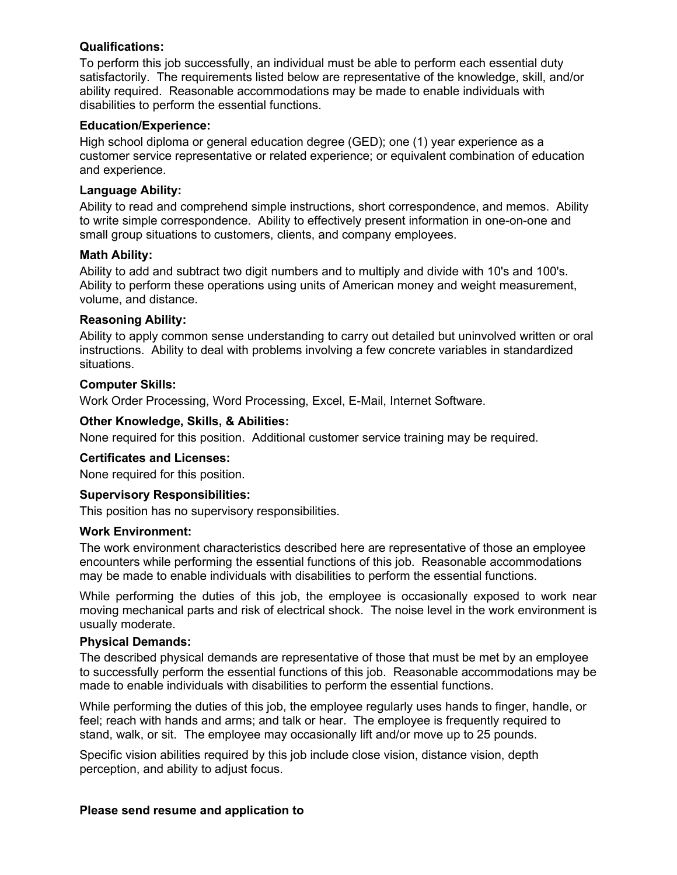#### **Qualifications:**

To perform this job successfully, an individual must be able to perform each essential duty satisfactorily. The requirements listed below are representative of the knowledge, skill, and/or ability required. Reasonable accommodations may be made to enable individuals with disabilities to perform the essential functions.

#### **Education/Experience:**

High school diploma or general education degree (GED); one (1) year experience as a customer service representative or related experience; or equivalent combination of education and experience.

## **Language Ability:**

Ability to read and comprehend simple instructions, short correspondence, and memos. Ability to write simple correspondence. Ability to effectively present information in one-on-one and small group situations to customers, clients, and company employees.

## **Math Ability:**

Ability to add and subtract two digit numbers and to multiply and divide with 10's and 100's. Ability to perform these operations using units of American money and weight measurement, volume, and distance.

## **Reasoning Ability:**

Ability to apply common sense understanding to carry out detailed but uninvolved written or oral instructions. Ability to deal with problems involving a few concrete variables in standardized situations.

## **Computer Skills:**

Work Order Processing, Word Processing, Excel, E-Mail, Internet Software.

## **Other Knowledge, Skills, & Abilities:**

None required for this position. Additional customer service training may be required.

## **Certificates and Licenses:**

None required for this position.

#### **Supervisory Responsibilities:**

This position has no supervisory responsibilities.

#### **Work Environment:**

The work environment characteristics described here are representative of those an employee encounters while performing the essential functions of this job. Reasonable accommodations may be made to enable individuals with disabilities to perform the essential functions.

While performing the duties of this job, the employee is occasionally exposed to work near moving mechanical parts and risk of electrical shock. The noise level in the work environment is usually moderate.

#### **Physical Demands:**

The described physical demands are representative of those that must be met by an employee to successfully perform the essential functions of this job. Reasonable accommodations may be made to enable individuals with disabilities to perform the essential functions.

While performing the duties of this job, the employee regularly uses hands to finger, handle, or feel; reach with hands and arms; and talk or hear. The employee is frequently required to stand, walk, or sit. The employee may occasionally lift and/or move up to 25 pounds.

Specific vision abilities required by this job include close vision, distance vision, depth perception, and ability to adjust focus.

#### **Please send resume and application to**